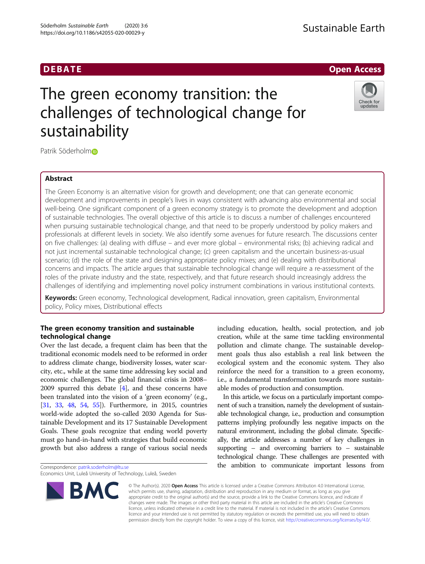

# The green economy transition: the challenges of technological change for sustainability



Patrik Söderhol[m](http://orcid.org/0000-0003-2264-7043)<sup>®</sup>

## Abstract

The Green Economy is an alternative vision for growth and development; one that can generate economic development and improvements in people's lives in ways consistent with advancing also environmental and social well-being. One significant component of a green economy strategy is to promote the development and adoption of sustainable technologies. The overall objective of this article is to discuss a number of challenges encountered when pursuing sustainable technological change, and that need to be properly understood by policy makers and professionals at different levels in society. We also identify some avenues for future research. The discussions center on five challenges: (a) dealing with diffuse – and ever more global – environmental risks; (b) achieving radical and not just incremental sustainable technological change; (c) green capitalism and the uncertain business-as-usual scenario; (d) the role of the state and designing appropriate policy mixes; and (e) dealing with distributional concerns and impacts. The article argues that sustainable technological change will require a re-assessment of the roles of the private industry and the state, respectively, and that future research should increasingly address the challenges of identifying and implementing novel policy instrument combinations in various institutional contexts.

Keywords: Green economy, Technological development, Radical innovation, green capitalism, Environmental policy, Policy mixes, Distributional effects

## The green economy transition and sustainable technological change

Over the last decade, a frequent claim has been that the traditional economic models need to be reformed in order to address climate change, biodiversity losses, water scarcity, etc., while at the same time addressing key social and economic challenges. The global financial crisis in 2008– 2009 spurred this debate [[4](#page-9-0)], and these concerns have been translated into the vision of a 'green economy' (e.g., [[31](#page-9-0), [33,](#page-9-0) [48](#page-10-0), [54](#page-10-0), [55\]](#page-10-0)). Furthermore, in 2015, countries world-wide adopted the so-called 2030 Agenda for Sustainable Development and its 17 Sustainable Development Goals. These goals recognize that ending world poverty must go hand-in-hand with strategies that build economic growth but also address a range of various social needs

Correspondence: [patrik.soderholm@ltu.se](mailto:patrik.soderholm@ltu.se)

Economics Unit, Luleå University of Technology, Luleå, Sweden

including education, health, social protection, and job creation, while at the same time tackling environmental pollution and climate change. The sustainable development goals thus also establish a real link between the ecological system and the economic system. They also reinforce the need for a transition to a green economy, i.e., a fundamental transformation towards more sustainable modes of production and consumption.

In this article, we focus on a particularly important component of such a transition, namely the development of sustainable technological change, i.e., production and consumption patterns implying profoundly less negative impacts on the natural environment, including the global climate. Specifically, the article addresses a number of key challenges in supporting – and overcoming barriers to – sustainable technological change. These challenges are presented with the ambition to communicate important lessons from



© The Author(s). 2020 Open Access This article is licensed under a Creative Commons Attribution 4.0 International License, which permits use, sharing, adaptation, distribution and reproduction in any medium or format, as long as you give appropriate credit to the original author(s) and the source, provide a link to the Creative Commons licence, and indicate if changes were made. The images or other third party material in this article are included in the article's Creative Commons licence, unless indicated otherwise in a credit line to the material. If material is not included in the article's Creative Commons licence and your intended use is not permitted by statutory regulation or exceeds the permitted use, you will need to obtain permission directly from the copyright holder. To view a copy of this licence, visit [http://creativecommons.org/licenses/by/4.0/.](http://creativecommons.org/licenses/by/4.0/)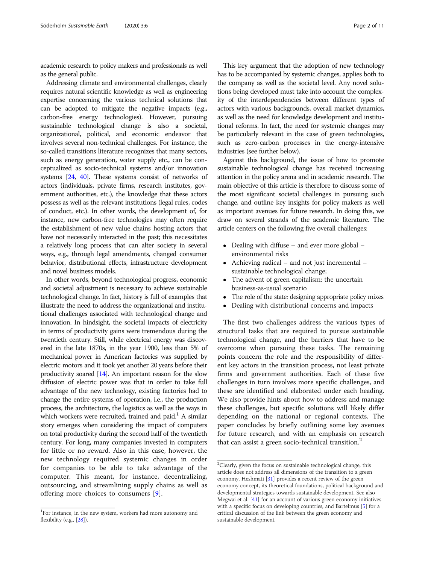academic research to policy makers and professionals as well as the general public.

Addressing climate and environmental challenges, clearly requires natural scientific knowledge as well as engineering expertise concerning the various technical solutions that can be adopted to mitigate the negative impacts (e.g., carbon-free energy technologies). However, pursuing sustainable technological change is also a societal, organizational, political, and economic endeavor that involves several non-technical challenges. For instance, the so-called transitions literature recognizes that many sectors, such as energy generation, water supply etc., can be conceptualized as socio-technical systems and/or innovation systems [\[24,](#page-9-0) [40](#page-10-0)]. These systems consist of networks of actors (individuals, private firms, research institutes, government authorities, etc.), the knowledge that these actors possess as well as the relevant institutions (legal rules, codes of conduct, etc.). In other words, the development of, for instance, new carbon-free technologies may often require the establishment of new value chains hosting actors that have not necessarily interacted in the past; this necessitates a relatively long process that can alter society in several ways, e.g., through legal amendments, changed consumer behavior, distributional effects, infrastructure development and novel business models.

In other words, beyond technological progress, economic and societal adjustment is necessary to achieve sustainable technological change. In fact, history is full of examples that illustrate the need to address the organizational and institutional challenges associated with technological change and innovation. In hindsight, the societal impacts of electricity in terms of productivity gains were tremendous during the twentieth century. Still, while electrical energy was discovered in the late 1870s, in the year 1900, less than 5% of mechanical power in American factories was supplied by electric motors and it took yet another 20 years before their productivity soared [[14](#page-9-0)]. An important reason for the slow diffusion of electric power was that in order to take full advantage of the new technology, existing factories had to change the entire systems of operation, i.e., the production process, the architecture, the logistics as well as the ways in which workers were recruited, trained and paid.<sup>1</sup> A similar story emerges when considering the impact of computers on total productivity during the second half of the twentieth century. For long, many companies invested in computers for little or no reward. Also in this case, however, the new technology required systemic changes in order for companies to be able to take advantage of the computer. This meant, for instance, decentralizing, outsourcing, and streamlining supply chains as well as offering more choices to consumers [[9\]](#page-9-0).

This key argument that the adoption of new technology has to be accompanied by systemic changes, applies both to the company as well as the societal level. Any novel solutions being developed must take into account the complexity of the interdependencies between different types of actors with various backgrounds, overall market dynamics, as well as the need for knowledge development and institutional reforms. In fact, the need for systemic changes may be particularly relevant in the case of green technologies, such as zero-carbon processes in the energy-intensive industries (see further below).

Against this background, the issue of how to promote sustainable technological change has received increasing attention in the policy arena and in academic research. The main objective of this article is therefore to discuss some of the most significant societal challenges in pursuing such change, and outline key insights for policy makers as well as important avenues for future research. In doing this, we draw on several strands of the academic literature. The article centers on the following five overall challenges:

- Dealing with diffuse and ever more global environmental risks
- Achieving radical and not just incremental sustainable technological change;
- The advent of green capitalism: the uncertain business-as-usual scenario
- The role of the state: designing appropriate policy mixes
- Dealing with distributional concerns and impacts

The first two challenges address the various types of structural tasks that are required to pursue sustainable technological change, and the barriers that have to be overcome when pursuing these tasks. The remaining points concern the role and the responsibility of different key actors in the transition process, not least private firms and government authorities. Each of these five challenges in turn involves more specific challenges, and these are identified and elaborated under each heading. We also provide hints about how to address and manage these challenges, but specific solutions will likely differ depending on the national or regional contexts. The paper concludes by briefly outlining some key avenues for future research, and with an emphasis on research that can assist a green socio-technical transition. $<sup>2</sup>$ </sup>

 ${}^{1}$ For instance, in the new system, workers had more autonomy and flexibility (e.g., [[28\]](#page-9-0)).

<sup>&</sup>lt;sup>2</sup>Clearly, given the focus on sustainable technological change, this article does not address all dimensions of the transition to a green economy. Heshmati [[31\]](#page-9-0) provides a recent review of the green economy concept, its theoretical foundations, political background and developmental strategies towards sustainable development. See also Megwai et al. [\[41](#page-10-0)] for an account of various green economy initiatives with a specific focus on developing countries, and Bartelmus [\[5](#page-9-0)] for a critical discussion of the link between the green economy and sustainable development.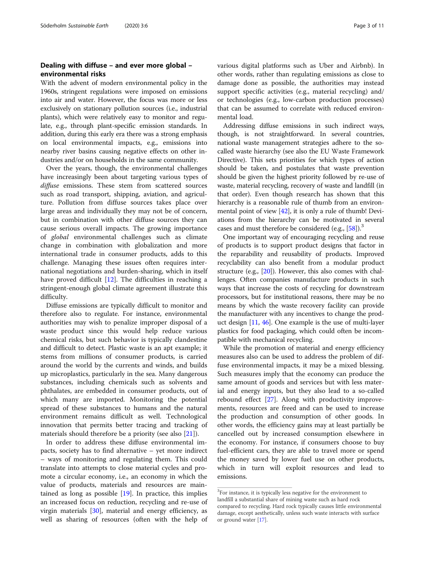## Dealing with diffuse – and ever more global – environmental risks

With the advent of modern environmental policy in the 1960s, stringent regulations were imposed on emissions into air and water. However, the focus was more or less exclusively on stationary pollution sources (i.e., industrial plants), which were relatively easy to monitor and regulate, e.g., through plant-specific emission standards. In addition, during this early era there was a strong emphasis on local environmental impacts, e.g., emissions into nearby river basins causing negative effects on other industries and/or on households in the same community.

Over the years, though, the environmental challenges have increasingly been about targeting various types of diffuse emissions. These stem from scattered sources such as road transport, shipping, aviation, and agriculture. Pollution from diffuse sources takes place over large areas and individually they may not be of concern, but in combination with other diffuse sources they can cause serious overall impacts. The growing importance of global environmental challenges such as climate change in combination with globalization and more international trade in consumer products, adds to this challenge. Managing these issues often requires international negotiations and burden-sharing, which in itself have proved difficult [[12\]](#page-9-0). The difficulties in reaching a stringent-enough global climate agreement illustrate this difficulty.

Diffuse emissions are typically difficult to monitor and therefore also to regulate. For instance, environmental authorities may wish to penalize improper disposal of a waste product since this would help reduce various chemical risks, but such behavior is typically clandestine and difficult to detect. Plastic waste is an apt example; it stems from millions of consumer products, is carried around the world by the currents and winds, and builds up microplastics, particularly in the sea. Many dangerous substances, including chemicals such as solvents and phthalates, are embedded in consumer products, out of which many are imported. Monitoring the potential spread of these substances to humans and the natural environment remains difficult as well. Technological innovation that permits better tracing and tracking of materials should therefore be a priority (see also [[21\]](#page-9-0)).

In order to address these diffuse environmental impacts, society has to find alternative – yet more indirect – ways of monitoring and regulating them. This could translate into attempts to close material cycles and promote a circular economy, i.e., an economy in which the value of products, materials and resources are maintained as long as possible  $[19]$  $[19]$ . In practice, this implies an increased focus on reduction, recycling and re-use of virgin materials [\[30](#page-9-0)], material and energy efficiency, as well as sharing of resources (often with the help of various digital platforms such as Uber and Airbnb). In other words, rather than regulating emissions as close to damage done as possible, the authorities may instead support specific activities (e.g., material recycling) and/ or technologies (e.g., low-carbon production processes) that can be assumed to correlate with reduced environmental load.

Addressing diffuse emissions in such indirect ways, though, is not straightforward. In several countries, national waste management strategies adhere to the socalled waste hierarchy (see also the EU Waste Framework Directive). This sets priorities for which types of action should be taken, and postulates that waste prevention should be given the highest priority followed by re-use of waste, material recycling, recovery of waste and landfill (in that order). Even though research has shown that this hierarchy is a reasonable rule of thumb from an environmental point of view [[42](#page-10-0)], it is only a rule of thumb! Deviations from the hierarchy can be motivated in several cases and must therefore be considered (e.g., [\[58](#page-10-0)]).<sup>3</sup>

One important way of encouraging recycling and reuse of products is to support product designs that factor in the reparability and reusability of products. Improved recyclability can also benefit from a modular product structure (e.g., [\[20\]](#page-9-0)). However, this also comes with challenges. Often companies manufacture products in such ways that increase the costs of recycling for downstream processors, but for institutional reasons, there may be no means by which the waste recovery facility can provide the manufacturer with any incentives to change the product design  $[11, 46]$  $[11, 46]$  $[11, 46]$ . One example is the use of multi-layer plastics for food packaging, which could often be incompatible with mechanical recycling.

While the promotion of material and energy efficiency measures also can be used to address the problem of diffuse environmental impacts, it may be a mixed blessing. Such measures imply that the economy can produce the same amount of goods and services but with less material and energy inputs, but they also lead to a so-called rebound effect [\[27](#page-9-0)]. Along with productivity improvements, resources are freed and can be used to increase the production and consumption of other goods. In other words, the efficiency gains may at least partially be cancelled out by increased consumption elsewhere in the economy. For instance, if consumers choose to buy fuel-efficient cars, they are able to travel more or spend the money saved by lower fuel use on other products, which in turn will exploit resources and lead to emissions.

<sup>&</sup>lt;sup>3</sup>For instance, it is typically less negative for the environment to landfill a substantial share of mining waste such as hard rock compared to recycling. Hard rock typically causes little environmental damage, except aesthetically, unless such waste interacts with surface or ground water [\[17\]](#page-9-0).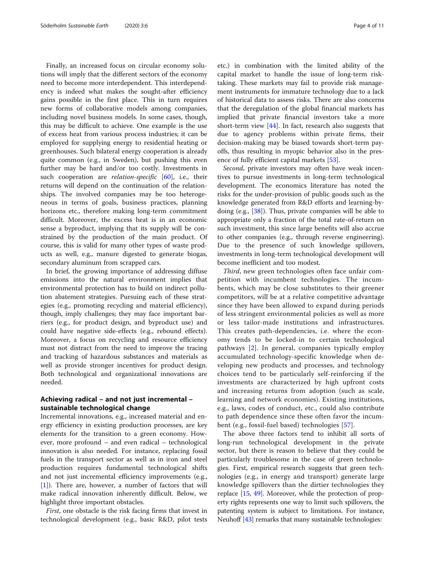Finally, an increased focus on circular economy solutions will imply that the different sectors of the economy need to become more interdependent. This interdependency is indeed what makes the sought-after efficiency gains possible in the first place. This in turn requires new forms of collaborative models among companies, including novel business models. In some cases, though, this may be difficult to achieve. One example is the use of excess heat from various process industries; it can be employed for supplying energy to residential heating or greenhouses. Such bilateral energy cooperation is already quite common (e.g., in Sweden), but pushing this even further may be hard and/or too costly. Investments in such cooperation are *relation-specific*  $[60]$  $[60]$ , i.e., their returns will depend on the continuation of the relationships. The involved companies may be too heterogeneous in terms of goals, business practices, planning horizons etc., therefore making long-term commitment difficult. Moreover, the excess heat is in an economic sense a byproduct, implying that its supply will be constrained by the production of the main product. Of course, this is valid for many other types of waste products as well, e.g., manure digested to generate biogas, secondary aluminum from scrapped cars.

In brief, the growing importance of addressing diffuse emissions into the natural environment implies that environmental protection has to build on indirect pollution abatement strategies. Pursuing each of these strategies (e.g., promoting recycling and material efficiency), though, imply challenges; they may face important barriers (e.g., for product design, and byproduct use) and could have negative side-effects (e.g., rebound effects). Moreover, a focus on recycling and resource efficiency must not distract from the need to improve the tracing and tracking of hazardous substances and materials as well as provide stronger incentives for product design. Both technological and organizational innovations are needed.

## Achieving radical – and not just incremental – sustainable technological change

Incremental innovations, e.g., increased material and energy efficiency in existing production processes, are key elements for the transition to a green economy. However, more profound – and even radical – technological innovation is also needed. For instance, replacing fossil fuels in the transport sector as well as in iron and steel production requires fundamental technological shifts and not just incremental efficiency improvements (e.g., [[1\]](#page-9-0)). There are, however, a number of factors that will make radical innovation inherently difficult. Below, we highlight three important obstacles.

First, one obstacle is the risk facing firms that invest in technological development (e.g., basic R&D, pilot tests etc.) in combination with the limited ability of the capital market to handle the issue of long-term risktaking. These markets may fail to provide risk management instruments for immature technology due to a lack of historical data to assess risks. There are also concerns that the deregulation of the global financial markets has implied that private financial investors take a more short-term view [\[44](#page-10-0)]. In fact, research also suggests that due to agency problems within private firms, their decision-making may be biased towards short-term payoffs, thus resulting in myopic behavior also in the presence of fully efficient capital markets [[53](#page-10-0)].

Second, private investors may often have weak incentives to pursue investments in long-term technological development. The economics literature has noted the risks for the under-provision of public goods such as the knowledge generated from R&D efforts and learning-bydoing (e.g., [[38](#page-9-0)]). Thus, private companies will be able to appropriate only a fraction of the total rate-of-return on such investment, this since large benefits will also accrue to other companies (e.g., through reverse engineering). Due to the presence of such knowledge spillovers, investments in long-term technological development will become inefficient and too modest.

Third, new green technologies often face unfair competition with incumbent technologies. The incumbents, which may be close substitutes to their greener competitors, will be at a relative competitive advantage since they have been allowed to expand during periods of less stringent environmental policies as well as more or less tailor-made institutions and infrastructures. This creates path-dependencies, i.e. where the economy tends to be locked-in to certain technological pathways [[2\]](#page-9-0). In general, companies typically employ accumulated technology-specific knowledge when developing new products and processes, and technology choices tend to be particularly self-reinforcing if the investments are characterized by high upfront costs and increasing returns from adoption (such as scale, learning and network economies). Existing institutions, e.g., laws, codes of conduct, etc., could also contribute to path dependence since these often favor the incumbent (e.g., fossil-fuel based) technologies [[57\]](#page-10-0).

The above three factors tend to inhibit all sorts of long-run technological development in the private sector, but there is reason to believe that they could be particularly troublesome in the case of green technologies. First, empirical research suggests that green technologies (e.g., in energy and transport) generate large knowledge spillovers than the dirtier technologies they replace [\[15,](#page-9-0) [49](#page-10-0)]. Moreover, while the protection of property rights represents one way to limit such spillovers, the patenting system is subject to limitations. For instance, Neuhoff [\[43\]](#page-10-0) remarks that many sustainable technologies: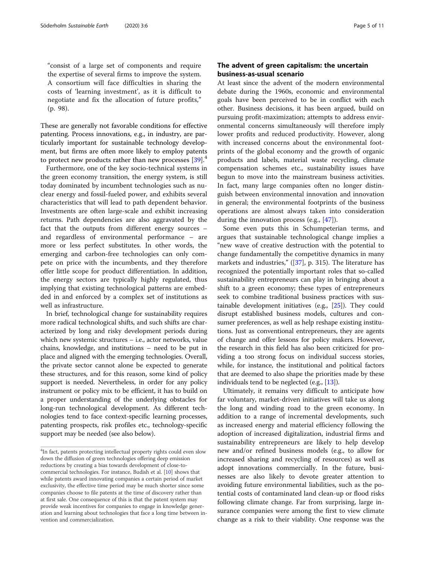"consist of a large set of components and require the expertise of several firms to improve the system. A consortium will face difficulties in sharing the costs of 'learning investment', as it is difficult to negotiate and fix the allocation of future profits," (p. 98).

These are generally not favorable conditions for effective patenting. Process innovations, e.g., in industry, are particularly important for sustainable technology development, but firms are often more likely to employ patents to protect new products rather than new processes  $[39]$  $[39]$  $[39]$ <sup>4</sup>

Furthermore, one of the key socio-technical systems in the green economy transition, the energy system, is still today dominated by incumbent technologies such as nuclear energy and fossil-fueled power, and exhibits several characteristics that will lead to path dependent behavior. Investments are often large-scale and exhibit increasing returns. Path dependencies are also aggravated by the fact that the outputs from different energy sources – and regardless of environmental performance – are more or less perfect substitutes. In other words, the emerging and carbon-free technologies can only compete on price with the incumbents, and they therefore offer little scope for product differentiation. In addition, the energy sectors are typically highly regulated, thus implying that existing technological patterns are embedded in and enforced by a complex set of institutions as well as infrastructure.

In brief, technological change for sustainability requires more radical technological shifts, and such shifts are characterized by long and risky development periods during which new systemic structures – i.e., actor networks, value chains, knowledge, and institutions – need to be put in place and aligned with the emerging technologies. Overall, the private sector cannot alone be expected to generate these structures, and for this reason, some kind of policy support is needed. Nevertheless, in order for any policy instrument or policy mix to be efficient, it has to build on a proper understanding of the underlying obstacles for long-run technological development. As different technologies tend to face context-specific learning processes, patenting prospects, risk profiles etc., technology-specific support may be needed (see also below).

## The advent of green capitalism: the uncertain business-as-usual scenario

At least since the advent of the modern environmental debate during the 1960s, economic and environmental goals have been perceived to be in conflict with each other. Business decisions, it has been argued, build on pursuing profit-maximization; attempts to address environmental concerns simultaneously will therefore imply lower profits and reduced productivity. However, along with increased concerns about the environmental footprints of the global economy and the growth of organic products and labels, material waste recycling, climate compensation schemes etc., sustainability issues have begun to move into the mainstream business activities. In fact, many large companies often no longer distinguish between environmental innovation and innovation in general; the environmental footprints of the business operations are almost always taken into consideration during the innovation process (e.g., [\[47\]](#page-10-0)).

Some even puts this in Schumpeterian terms, and argues that sustainable technological change implies a "new wave of creative destruction with the potential to change fundamentally the competitive dynamics in many markets and industries,"  $([37], p. 315)$  $([37], p. 315)$  $([37], p. 315)$ . The literature has recognized the potentially important roles that so-called sustainability entrepreneurs can play in bringing about a shift to a green economy; these types of entrepreneurs seek to combine traditional business practices with sustainable development initiatives (e.g., [[25](#page-9-0)]). They could disrupt established business models, cultures and consumer preferences, as well as help reshape existing institutions. Just as conventional entrepreneurs, they are agents of change and offer lessons for policy makers. However, the research in this field has also been criticized for providing a too strong focus on individual success stories, while, for instance, the institutional and political factors that are deemed to also shape the priorities made by these individuals tend to be neglected (e.g., [\[13\]](#page-9-0)).

Ultimately, it remains very difficult to anticipate how far voluntary, market-driven initiatives will take us along the long and winding road to the green economy. In addition to a range of incremental developments, such as increased energy and material efficiency following the adoption of increased digitalization, industrial firms and sustainability entrepreneurs are likely to help develop new and/or refined business models (e.g., to allow for increased sharing and recycling of resources) as well as adopt innovations commercially. In the future, businesses are also likely to devote greater attention to avoiding future environmental liabilities, such as the potential costs of contaminated land clean-up or flood risks following climate change. Far from surprising, large insurance companies were among the first to view climate change as a risk to their viability. One response was the

 $4$ In fact, patents protecting intellectual property rights could even slow down the diffusion of green technologies offering deep emission reductions by creating a bias towards development of close-tocommercial technologies. For instance, Budish et al. [\[10\]](#page-9-0) shows that while patents award innovating companies a certain period of market exclusivity, the effective time period may be much shorter since some companies choose to file patents at the time of discovery rather than at first sale. One consequence of this is that the patent system may provide weak incentives for companies to engage in knowledge generation and learning about technologies that face a long time between invention and commercialization.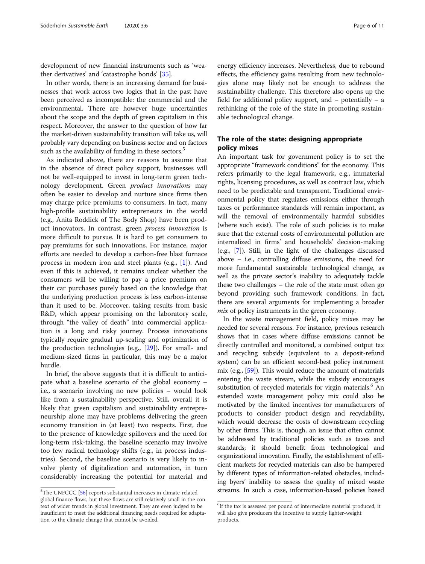development of new financial instruments such as 'weather derivatives' and 'catastrophe bonds' [[35\]](#page-9-0).

In other words, there is an increasing demand for businesses that work across two logics that in the past have been perceived as incompatible: the commercial and the environmental. There are however huge uncertainties about the scope and the depth of green capitalism in this respect. Moreover, the answer to the question of how far the market-driven sustainability transition will take us, will probably vary depending on business sector and on factors such as the availability of funding in these sectors.<sup>5</sup>

As indicated above, there are reasons to assume that in the absence of direct policy support, businesses will not be well-equipped to invest in long-term green technology development. Green product innovations may often be easier to develop and nurture since firms then may charge price premiums to consumers. In fact, many high-profile sustainability entrepreneurs in the world (e.g., Anita Roddick of The Body Shop) have been product innovators. In contrast, green process innovation is more difficult to pursue. It is hard to get consumers to pay premiums for such innovations. For instance, major efforts are needed to develop a carbon-free blast furnace process in modern iron and steel plants (e.g., [[1](#page-9-0)]). And even if this is achieved, it remains unclear whether the consumers will be willing to pay a price premium on their car purchases purely based on the knowledge that the underlying production process is less carbon-intense than it used to be. Moreover, taking results from basic R&D, which appear promising on the laboratory scale, through "the valley of death" into commercial application is a long and risky journey. Process innovations typically require gradual up-scaling and optimization of the production technologies (e.g., [\[29\]](#page-9-0)). For small- and medium-sized firms in particular, this may be a major hurdle.

In brief, the above suggests that it is difficult to anticipate what a baseline scenario of the global economy – i.e., a scenario involving no new policies – would look like from a sustainability perspective. Still, overall it is likely that green capitalism and sustainability entrepreneurship alone may have problems delivering the green economy transition in (at least) two respects. First, due to the presence of knowledge spillovers and the need for long-term risk-taking, the baseline scenario may involve too few radical technology shifts (e.g., in process industries). Second, the baseline scenario is very likely to involve plenty of digitalization and automation, in turn considerably increasing the potential for material and

energy efficiency increases. Nevertheless, due to rebound effects, the efficiency gains resulting from new technologies alone may likely not be enough to address the sustainability challenge. This therefore also opens up the field for additional policy support, and – potentially – a rethinking of the role of the state in promoting sustainable technological change.

## The role of the state: designing appropriate policy mixes

An important task for government policy is to set the appropriate "framework conditions" for the economy. This refers primarily to the legal framework, e.g., immaterial rights, licensing procedures, as well as contract law, which need to be predictable and transparent. Traditional environmental policy that regulates emissions either through taxes or performance standards will remain important, as will the removal of environmentally harmful subsidies (where such exist). The role of such policies is to make sure that the external costs of environmental pollution are internalized in firms' and households' decision-making (e.g., [\[7\]](#page-9-0)). Still, in the light of the challenges discussed above – i.e., controlling diffuse emissions, the need for more fundamental sustainable technological change, as well as the private sector's inability to adequately tackle these two challenges – the role of the state must often go beyond providing such framework conditions. In fact, there are several arguments for implementing a broader mix of policy instruments in the green economy.

In the waste management field, policy mixes may be needed for several reasons. For instance, previous research shows that in cases where diffuse emissions cannot be directly controlled and monitored, a combined output tax and recycling subsidy (equivalent to a deposit-refund system) can be an efficient second-best policy instrument mix (e.g., [\[59\]](#page-10-0)). This would reduce the amount of materials entering the waste stream, while the subsidy encourages substitution of recycled materials for virgin materials.<sup>6</sup> An extended waste management policy mix could also be motivated by the limited incentives for manufacturers of products to consider product design and recyclability, which would decrease the costs of downstream recycling by other firms. This is, though, an issue that often cannot be addressed by traditional policies such as taxes and standards; it should benefit from technological and organizational innovation. Finally, the establishment of efficient markets for recycled materials can also be hampered by different types of information-related obstacles, including byers' inability to assess the quality of mixed waste  $\overline{5}$ The UNFCCC [\[56](#page-10-0)] reports substantial increases in climate-related streams. In such a case, information-based policies based

global finance flows, but these flows are still relatively small in the context of wider trends in global investment. They are even judged to be insufficient to meet the additional financing needs required for adaptation to the climate change that cannot be avoided.

<sup>&</sup>lt;sup>6</sup>If the tax is assessed per pound of intermediate material produced, it will also give producers the incentive to supply lighter-weight products.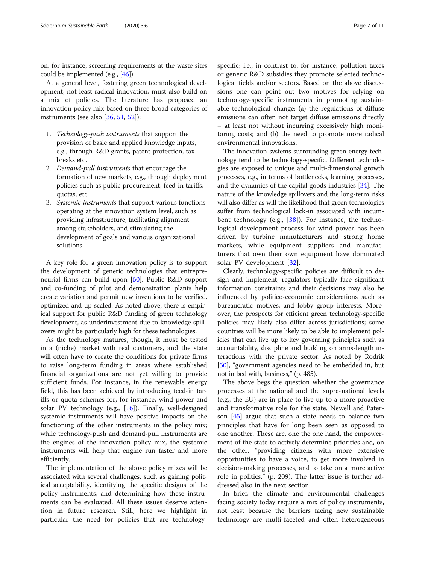on, for instance, screening requirements at the waste sites could be implemented (e.g., [\[46\]](#page-10-0)).

At a general level, fostering green technological development, not least radical innovation, must also build on a mix of policies. The literature has proposed an innovation policy mix based on three broad categories of instruments (see also [\[36,](#page-9-0) [51,](#page-10-0) [52\]](#page-10-0)):

- 1. Technology-push instruments that support the provision of basic and applied knowledge inputs, e.g., through R&D grants, patent protection, tax breaks etc.
- 2. Demand-pull instruments that encourage the formation of new markets, e.g., through deployment policies such as public procurement, feed-in tariffs, quotas, etc.
- 3. Systemic instruments that support various functions operating at the innovation system level, such as providing infrastructure, facilitating alignment among stakeholders, and stimulating the development of goals and various organizational solutions.

A key role for a green innovation policy is to support the development of generic technologies that entrepreneurial firms can build upon [\[50\]](#page-10-0). Public R&D support and co-funding of pilot and demonstration plants help create variation and permit new inventions to be verified, optimized and up-scaled. As noted above, there is empirical support for public R&D funding of green technology development, as underinvestment due to knowledge spillovers might be particularly high for these technologies.

As the technology matures, though, it must be tested in a (niche) market with real customers, and the state will often have to create the conditions for private firms to raise long-term funding in areas where established financial organizations are not yet willing to provide sufficient funds. For instance, in the renewable energy field, this has been achieved by introducing feed-in tariffs or quota schemes for, for instance, wind power and solar PV technology (e.g., [[16](#page-9-0)]). Finally, well-designed systemic instruments will have positive impacts on the functioning of the other instruments in the policy mix; while technology-push and demand-pull instruments are the engines of the innovation policy mix, the systemic instruments will help that engine run faster and more efficiently.

The implementation of the above policy mixes will be associated with several challenges, such as gaining political acceptability, identifying the specific designs of the policy instruments, and determining how these instruments can be evaluated. All these issues deserve attention in future research. Still, here we highlight in particular the need for policies that are technologyspecific; i.e., in contrast to, for instance, pollution taxes or generic R&D subsidies they promote selected technological fields and/or sectors. Based on the above discussions one can point out two motives for relying on technology-specific instruments in promoting sustainable technological change: (a) the regulations of diffuse emissions can often not target diffuse emissions directly – at least not without incurring excessively high monitoring costs; and (b) the need to promote more radical environmental innovations.

The innovation systems surrounding green energy technology tend to be technology-specific. Different technologies are exposed to unique and multi-dimensional growth processes, e.g., in terms of bottlenecks, learning processes, and the dynamics of the capital goods industries [\[34](#page-9-0)]. The nature of the knowledge spillovers and the long-term risks will also differ as will the likelihood that green technologies suffer from technological lock-in associated with incumbent technology (e.g., [\[38](#page-9-0)]). For instance, the technological development process for wind power has been driven by turbine manufacturers and strong home markets, while equipment suppliers and manufacturers that own their own equipment have dominated solar PV development [[32\]](#page-9-0).

Clearly, technology-specific policies are difficult to design and implement; regulators typically face significant information constraints and their decisions may also be influenced by politico-economic considerations such as bureaucratic motives, and lobby group interests. Moreover, the prospects for efficient green technology-specific policies may likely also differ across jurisdictions; some countries will be more likely to be able to implement policies that can live up to key governing principles such as accountability, discipline and building on arms-length interactions with the private sector. As noted by Rodrik [[50](#page-10-0)], "government agencies need to be embedded in, but not in bed with, business," (p. 485).

The above begs the question whether the governance processes at the national and the supra-national levels (e.g., the EU) are in place to live up to a more proactive and transformative role for the state. Newell and Paterson [[45\]](#page-10-0) argue that such a state needs to balance two principles that have for long been seen as opposed to one another. These are, one the one hand, the empowerment of the state to actively determine priorities and, on the other, "providing citizens with more extensive opportunities to have a voice, to get more involved in decision-making processes, and to take on a more active role in politics," (p. 209). The latter issue is further addressed also in the next section.

In brief, the climate and environmental challenges facing society today require a mix of policy instruments, not least because the barriers facing new sustainable technology are multi-faceted and often heterogeneous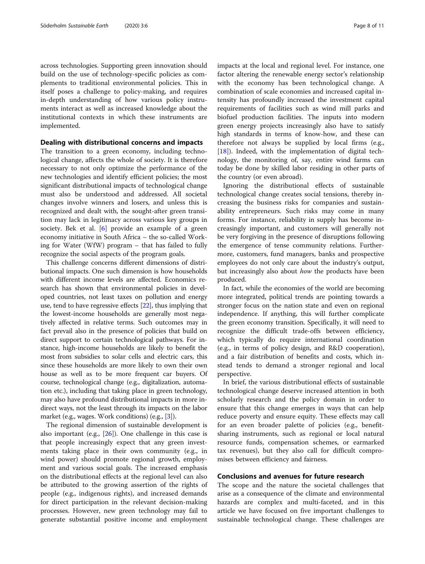across technologies. Supporting green innovation should build on the use of technology-specific policies as complements to traditional environmental policies. This in itself poses a challenge to policy-making, and requires in-depth understanding of how various policy instruments interact as well as increased knowledge about the institutional contexts in which these instruments are implemented.

## Dealing with distributional concerns and impacts

The transition to a green economy, including technological change, affects the whole of society. It is therefore necessary to not only optimize the performance of the new technologies and identify efficient policies; the most significant distributional impacts of technological change must also be understood and addressed. All societal changes involve winners and losers, and unless this is recognized and dealt with, the sought-after green transition may lack in legitimacy across various key groups in society. Bek et al. [\[6](#page-9-0)] provide an example of a green economy initiative in South Africa – the so-called Working for Water (WfW) program – that has failed to fully recognize the social aspects of the program goals.

This challenge concerns different dimensions of distributional impacts. One such dimension is how households with different income levels are affected. Economics research has shown that environmental policies in developed countries, not least taxes on pollution and energy use, tend to have regressive effects [[22](#page-9-0)], thus implying that the lowest-income households are generally most negatively affected in relative terms. Such outcomes may in fact prevail also in the presence of policies that build on direct support to certain technological pathways. For instance, high-income households are likely to benefit the most from subsidies to solar cells and electric cars, this since these households are more likely to own their own house as well as to be more frequent car buyers. Of course, technological change (e.g., digitalization, automation etc.), including that taking place in green technology, may also have profound distributional impacts in more indirect ways, not the least through its impacts on the labor market (e.g., wages. Work conditions) (e.g., [\[3\]](#page-9-0)).

The regional dimension of sustainable development is also important (e.g.,  $[26]$ ). One challenge in this case is that people increasingly expect that any green investments taking place in their own community (e.g., in wind power) should promote regional growth, employment and various social goals. The increased emphasis on the distributional effects at the regional level can also be attributed to the growing assertion of the rights of people (e.g., indigenous rights), and increased demands for direct participation in the relevant decision-making processes. However, new green technology may fail to generate substantial positive income and employment

impacts at the local and regional level. For instance, one factor altering the renewable energy sector's relationship with the economy has been technological change. A combination of scale economies and increased capital intensity has profoundly increased the investment capital requirements of facilities such as wind mill parks and biofuel production facilities. The inputs into modern green energy projects increasingly also have to satisfy high standards in terms of know-how, and these can therefore not always be supplied by local firms (e.g., [[18\]](#page-9-0)). Indeed, with the implementation of digital technology, the monitoring of, say, entire wind farms can today be done by skilled labor residing in other parts of the country (or even abroad).

Ignoring the distributional effects of sustainable technological change creates social tensions, thereby increasing the business risks for companies and sustainability entrepreneurs. Such risks may come in many forms. For instance, reliability in supply has become increasingly important, and customers will generally not be very forgiving in the presence of disruptions following the emergence of tense community relations. Furthermore, customers, fund managers, banks and prospective employees do not only care about the industry's output, but increasingly also about *how* the products have been produced.

In fact, while the economies of the world are becoming more integrated, political trends are pointing towards a stronger focus on the nation state and even on regional independence. If anything, this will further complicate the green economy transition. Specifically, it will need to recognize the difficult trade-offs between efficiency, which typically do require international coordination (e.g., in terms of policy design, and R&D cooperation), and a fair distribution of benefits and costs, which instead tends to demand a stronger regional and local perspective.

In brief, the various distributional effects of sustainable technological change deserve increased attention in both scholarly research and the policy domain in order to ensure that this change emerges in ways that can help reduce poverty and ensure equity. These effects may call for an even broader palette of policies (e.g., benefitsharing instruments, such as regional or local natural resource funds, compensation schemes, or earmarked tax revenues), but they also call for difficult compromises between efficiency and fairness.

#### Conclusions and avenues for future research

The scope and the nature the societal challenges that arise as a consequence of the climate and environmental hazards are complex and multi-faceted, and in this article we have focused on five important challenges to sustainable technological change. These challenges are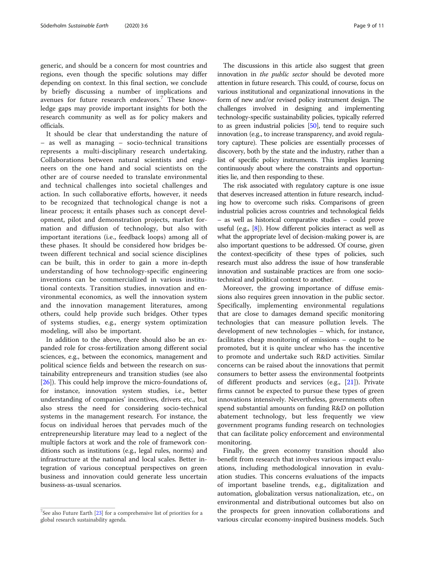generic, and should be a concern for most countries and regions, even though the specific solutions may differ depending on context. In this final section, we conclude by briefly discussing a number of implications and avenues for future research endeavors.<sup>7</sup> These knowledge gaps may provide important insights for both the research community as well as for policy makers and officials.

It should be clear that understanding the nature of – as well as managing – socio-technical transitions represents a multi-disciplinary research undertaking. Collaborations between natural scientists and engineers on the one hand and social scientists on the other are of course needed to translate environmental and technical challenges into societal challenges and action. In such collaborative efforts, however, it needs to be recognized that technological change is not a linear process; it entails phases such as concept development, pilot and demonstration projects, market formation and diffusion of technology, but also with important iterations (i.e., feedback loops) among all of these phases. It should be considered how bridges between different technical and social science disciplines can be built, this in order to gain a more in-depth understanding of how technology-specific engineering inventions can be commercialized in various institutional contexts. Transition studies, innovation and environmental economics, as well the innovation system and the innovation management literatures, among others, could help provide such bridges. Other types of systems studies, e.g., energy system optimization modeling, will also be important.

In addition to the above, there should also be an expanded role for cross-fertilization among different social sciences, e.g., between the economics, management and political science fields and between the research on sustainability entrepreneurs and transition studies (see also [[26\]](#page-9-0)). This could help improve the micro-foundations of, for instance, innovation system studies, i.e., better understanding of companies' incentives, drivers etc., but also stress the need for considering socio-technical systems in the management research. For instance, the focus on individual heroes that pervades much of the entrepreneurship literature may lead to a neglect of the multiple factors at work and the role of framework conditions such as institutions (e.g., legal rules, norms) and infrastructure at the national and local scales. Better integration of various conceptual perspectives on green business and innovation could generate less uncertain business-as-usual scenarios.

The discussions in this article also suggest that green innovation in the *public sector* should be devoted more attention in future research. This could, of course, focus on various institutional and organizational innovations in the form of new and/or revised policy instrument design. The challenges involved in designing and implementing technology-specific sustainability policies, typically referred to as green industrial policies [\[50\]](#page-10-0), tend to require such innovation (e.g., to increase transparency, and avoid regulatory capture). These policies are essentially processes of discovery, both by the state and the industry, rather than a list of specific policy instruments. This implies learning continuously about where the constraints and opportunities lie, and then responding to these.

The risk associated with regulatory capture is one issue that deserves increased attention in future research, including how to overcome such risks. Comparisons of green industrial policies across countries and technological fields – as well as historical comparative studies – could prove useful (e.g.,  $[8]$  $[8]$ ). How different policies interact as well as what the appropriate level of decision-making power is, are also important questions to be addressed. Of course, given the context-specificity of these types of policies, such research must also address the issue of how transferable innovation and sustainable practices are from one sociotechnical and political context to another.

Moreover, the growing importance of diffuse emissions also requires green innovation in the public sector. Specifically, implementing environmental regulations that are close to damages demand specific monitoring technologies that can measure pollution levels. The development of new technologies – which, for instance, facilitates cheap monitoring of emissions – ought to be promoted, but it is quite unclear who has the incentive to promote and undertake such R&D activities. Similar concerns can be raised about the innovations that permit consumers to better assess the environmental footprints of different products and services (e.g., [\[21](#page-9-0)]). Private firms cannot be expected to pursue these types of green innovations intensively. Nevertheless, governments often spend substantial amounts on funding R&D on pollution abatement technology, but less frequently we view government programs funding research on technologies that can facilitate policy enforcement and environmental monitoring.

Finally, the green economy transition should also benefit from research that involves various impact evaluations, including methodological innovation in evaluation studies. This concerns evaluations of the impacts of important baseline trends, e.g., digitalization and automation, globalization versus nationalization, etc., on environmental and distributional outcomes but also on the prospects for green innovation collaborations and various circular economy-inspired business models. Such

 $7$ See also Future Earth  $[23]$  $[23]$  $[23]$  for a comprehensive list of priorities for a global research sustainability agenda.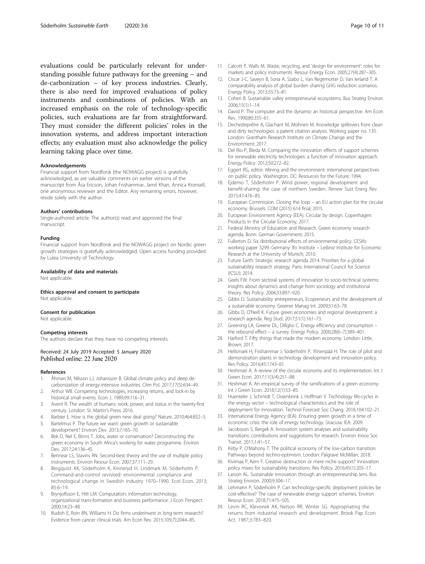<span id="page-9-0"></span>evaluations could be particularly relevant for understanding possible future pathways for the greening – and de-carbonization – of key process industries. Clearly, there is also need for improved evaluations of policy instruments and combinations of policies. With an increased emphasis on the role of technology-specific policies, such evaluations are far from straightforward. They must consider the different policies' roles in the innovation systems, and address important interaction effects; any evaluation must also acknowledge the policy learning taking place over time.

#### Acknowledgements

Financial support from Nordforsk (the NOWAGG project) is gratefully acknowledged, as are valuable comments on earlier versions of the manuscript from Åsa Ericson, Johan Frishammar, Jamil Khan, Annica Kronsell, one anonymous reviewer and the Editor. Any remaining errors, however, reside solely with the author.

#### Authors' contributions

Single-authored article. The author(s) read and approved the final manuscript.

#### Funding

Financial support from Nordforsk and the NOWAGG project on Nordic green growth strategies is gratefully acknowledged. Open access funding provided by Lulea University of Technology.

### Availability of data and materials

Not applicable.

Ethics approval and consent to participate Not applicable.

#### Consent for publication

Not applicable.

#### Competing interests

The authors declare that they have no competing interests.

## Received: 24 July 2019 Accepted: 5 January 2020 Published online: 22 June 2020

#### References

- 1. Åhman M, Nilsson LJ, Johansson B. Global climate policy and deep decarbonization of energy-intensive industries. Clim Pol. 2017;17(5):634–49.
- 2. Arthur WB. Competing technologies, increasing returns, and lock-in by historical small events. Econ J. 1989;99:116–31.
- Avent R. The wealth of humans: work, power, and status in the twenty-first century. London: St. Martin's Press; 2016.
- 4. Barbier E. How is the global green new deal going? Nature. 2010;464:832–3.
- 5. Bartelmus P. The future we want: green growth or sustainable development? Environ Dev. 2013;7:165–70.
- 6. Bek D, Nel E, Binns T. Jobs, water or conservation? Deconstructing the green economy in South Africa's working for water programme. Environ Dev. 2017;24:136–45.
- 7. Bennear LS, Stavins RN. Second-best theory and the use of multiple policy instruments. Environ Resour Econ. 2007;37:111–29.
- 8. Bergquist AK, Söderholm K, Kinneryd H, Lindmark M, Söderholm P. Command-and-control revisited: environmental compliance and technological change in Swedish industry 1970–1990. Ecol Econ. 2013; 85:6–19.
- Brynjolfsson E, Hitt LM. Computation: information technology, organizational trans-formation and business performance. J Econ Perspect. 2000;14:23–48.
- 10. Budish E, Roin BN, Williams H. Do firms underinvest in long-term research? Evidence from cancer clinical trials. Am Econ Rev. 2015;105(7):2044–85.
- 11. Calcott P, Walls M. Waste, recycling, and 'design for environment': roles for markets and policy instruments. Resour Energy Econ. 2005;27(4):287–305.
- 12. Ciscar J-C, Saveyn B, Soria A, Szabo L, Van Regemorter D, Van Ierland T. A comparability analysis of global burden sharing GHG reduction scenarios. Energy Policy. 2013;55:73–81.
- 13. Cohen B. Sustainable valley entrepreneurial ecosystems. Bus Strateg Environ. 2006;15(1):1–14.
- 14. David P. The computer and the dynamo: an historical perspective. Am Econ Rev. 1990;80:355–61.
- 15. Dechezleprêtre A, Glachant M, Mohnen M. Knowledge spillovers from clean and dirty technologies: a patent citation analysis. Working paper no. 135. London: Grantham Research Institute on Climate Change and the Environment; 2017.
- 16. Del Rio P, Bleda M. Comparing the innovation effects of support schemes for renewable electricity technologies: a function of innovation approach. Energy Policy. 2012;50:272–82.
- 17. Eggert RG, editor. Mining and the environment: international perspectives on public policy. Washington, DC: Resources for the Future; 1994.
- 18. Ejdemo T, Söderholm P. Wind power, regional development and benefit-sharing: the case of northern Sweden. Renew Sust Energ Rev. 2015;47:476–85.
- 19. European Commission. Closing the loop an EU action plan for the circular economy. Brussels: COM (2015) 614 final; 2015.
- 20. European Environment Agency (EEA). Circular by design. Copenhagen: Products in the Circular Economy; 2017.
- 21. Federal Ministry of Education and Research. Green economy research agenda. Bonn: German Government; 2015.
- 22. Fullerton D. Six distributional effects of environmental policy. CESifo working paper 3299. Germany: Ifo Institute – Leibniz Institute for Economic Research at the University of Munich; 2010.
- 23. Future Earth. Strategic research agenda 2014. Priorities for a global sustainability research strategy. Paris: International Council for Science (ICSU); 2014.
- 24. Geels FW. From sectoral systems of innovation to socio-technical systems: insights about dynamics and change from sociology and institutional theory. Res Policy. 2004;33:897–920.
- 25. Gibbs D. Sustainability entrepreneurs, Ecopreneurs and the development of a sustainable economy. Greener Manag Int. 2009;51:63–78.
- 26. Gibbs D, O'Neill K. Future green economies and regional development: a research agenda. Reg Stud. 2017;51(1):161–73.
- 27. Greening LA, Greene DL, Difiglio C. Energy efficiency and consumption the rebound effect – a survey. Energy Policy. 2000;28(6–7):389–401.
- 28. Harford T. Fifty things that made the modern economy. London: Little, Brown; 2017.
- 29. Hellsmark H, Frishammar J, Söderholm P, Ylinenpää H. The role of pilot and demonstration plants in technology development and innovation policy. Res Policy. 2016;45:1743–61.
- 30. Heshmati A. A review of the circular economy and its implementation. Int J Green Econ. 2017;11(3/4):251–88.
- 31. Heshmati A. An empirical survey of the ramifications of a green economy. Int J Green Econ. 2018;12(1):53–85.
- 32. Huenteler J, Schmidt T, Ossenbrink J, Hoffman V. Technology life-cycles in the energy sector – technological characteristics and the role of deployment for innovation. Technol Forecast Soc Chang. 2016;104:102–21.
- 33. International Energy Agency (IEA). Ensuring green growth in a time of economic crisis: the role of energy technology. Siracusa: IEA; 2009.
- 34. Jacobsson S, Bergek A. Innovation system analyses and sustainability transitions: contributions and suggestions for research. Environ Innov Soc Transit. 2011;1:41–57.
- 35. Kirby P, O'Mahony T. The political economy of the low-carbon transition. Pathways beyond techno-optimism. London: Palgrave McMillan; 2018.
- 36. Kivimaa P, Kern F. Creative destruction or mere niche support? Innovation policy mixes for sustainability transitions. Res Policy. 2016;45(1):205–17.
- 37. Larson AL. Sustainable innovation through an entrepreneurship lens. Bus Strateg Environ. 2000;9:304–17.
- 38. Lehmann P, Söderholm P. Can technology-specific deployment policies be cost-effective? The case of renewable energy support schemes. Environ Resour Econ. 2018;71:475–505.
- 39. Levin RC, Klevoriek AK, Nelson RR, Winter SG. Appropriating the returns from industrial research and development. Brook Pap Econ Act. 1987;3:783–820.